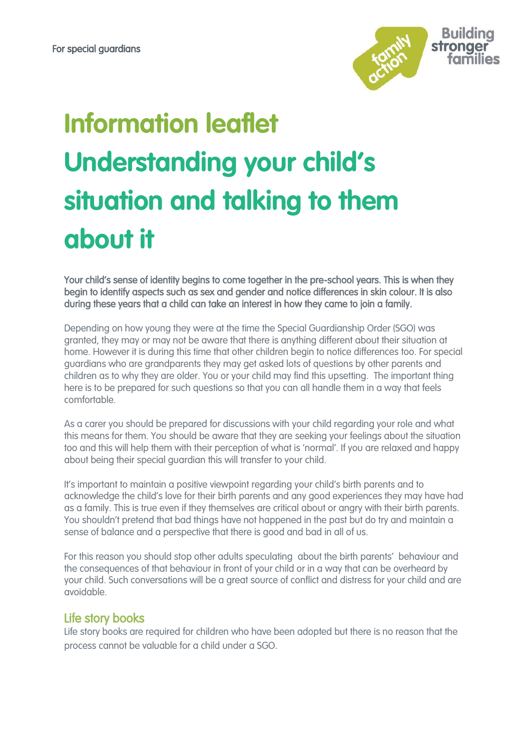

# **Information leaflet Understanding your child's situation and talking to them about it**

Your child's sense of identity begins to come together in the pre-school years. This is when they begin to identify aspects such as sex and gender and notice differences in skin colour. It is also during these years that a child can take an interest in how they came to join a family.

Depending on how young they were at the time the Special Guardianship Order (SGO) was granted, they may or may not be aware that there is anything different about their situation at home. However it is during this time that other children begin to notice differences too. For special guardians who are grandparents they may get asked lots of questions by other parents and children as to why they are older. You or your child may find this upsetting. The important thing here is to be prepared for such questions so that you can all handle them in a way that feels comfortable.

As a carer you should be prepared for discussions with your child regarding your role and what this means for them. You should be aware that they are seeking your feelings about the situation too and this will help them with their perception of what is 'normal'. If you are relaxed and happy about being their special guardian this will transfer to your child.

It's important to maintain a positive viewpoint regarding your child's birth parents and to acknowledge the child's love for their birth parents and any good experiences they may have had as a family. This is true even if they themselves are critical about or angry with their birth parents. You shouldn't pretend that bad things have not happened in the past but do try and maintain a sense of balance and a perspective that there is good and bad in all of us.

For this reason you should stop other adults speculating about the birth parents' behaviour and the consequences of that behaviour in front of your child or in a way that can be overheard by your child. Such conversations will be a great source of conflict and distress for your child and are avoidable.

# Life story books

Life story books are required for children who have been adopted but there is no reason that the process cannot be valuable for a child under a SGO.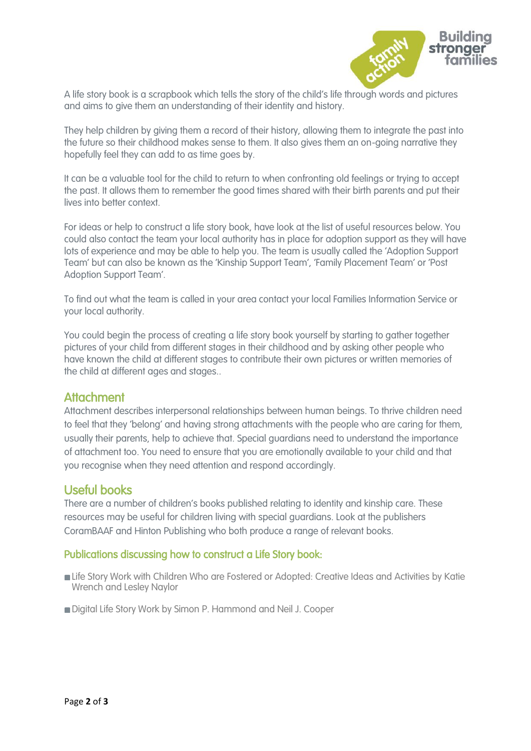

A life story book is a scrapbook which tells the story of the child's life through words and pictures and aims to give them an understanding of their identity and history.

They help children by giving them a record of their history, allowing them to integrate the past into the future so their childhood makes sense to them. It also gives them an on-going narrative they hopefully feel they can add to as time goes by.

It can be a valuable tool for the child to return to when confronting old feelings or trying to accept the past. It allows them to remember the good times shared with their birth parents and put their lives into better context.

For ideas or help to construct a life story book, have look at the list of useful resources below. You could also contact the team your local authority has in place for adoption support as they will have lots of experience and may be able to help you. The team is usually called the 'Adoption Support Team' but can also be known as the 'Kinship Support Team', 'Family Placement Team' or 'Post Adoption Support Team'.

To find out what the team is called in your area contact your local Families Information Service or your local authority.

You could begin the process of creating a life story book yourself by starting to gather together pictures of your child from different stages in their childhood and by asking other people who have known the child at different stages to contribute their own pictures or written memories of the child at different ages and stages..

## **Attachment**

Attachment describes interpersonal relationships between human beings. To thrive children need to feel that they 'belong' and having strong attachments with the people who are caring for them, usually their parents, help to achieve that. Special guardians need to understand the importance of attachment too. You need to ensure that you are emotionally available to your child and that you recognise when they need attention and respond accordingly.

## Useful books

There are a number of children's books published relating to identity and kinship care. These resources may be useful for children living with special guardians. Look at the publishers CoramBAAF and Hinton Publishing who both produce a range of relevant books.

#### Publications discussing how to construct a Life Story book:

- Life Story Work with Children Who are Fostered or Adopted: Creative Ideas and Activities by Katie Wrench and Lesley Naylor
- Digital Life Story Work by Simon P. Hammond and Neil J. Cooper